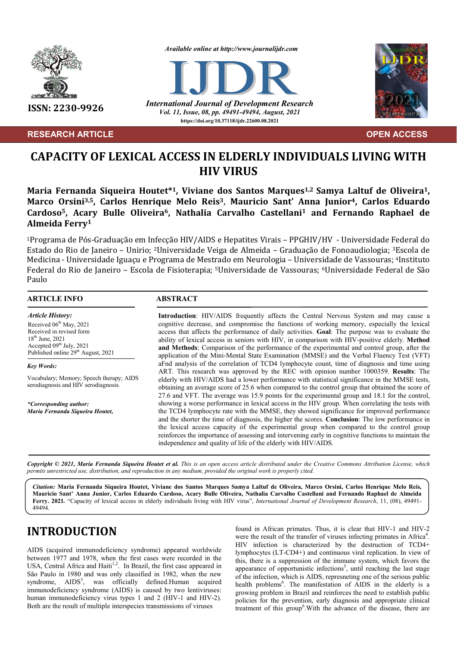

**RESEARCH ARTICLE****OPEN ACCESS**

*Available online at http://www.journalijdr.com*



**ISSN: 2230-9926** *International Journal of Development Research Vol. 11, Issue, 08, pp. 49491-49494, August, 2021* **https://doi.org/10.37118/ijdr.22600.08.2021**



# **CAPACITY OF LEXICAL ACCESS IN ELDERLY INDIVIDUALS LIVING WITH HIV VIRUS**

**Maria Fernanda Siqueira Houtet\*1, Viviane dos Santos Marques1,2 Samya Laltuf de Oliveira1, Marco Orsini3,5, Carlos Henrique Melo Reis3, Mauricio Sant' Anna Junior4, Carlos Eduardo Cardoso5, Acary Bulle Oliveira6, Nathalia Carvalho Castellani1 and Fernando Raphael de Almeida Ferry1**

1Programa de Pós-Graduação em Infecção HIV/AIDS e Hepatites Virais – PPGHIV/HV - Universidade Federal do Estado do Rio de Janeiro – Unirio; 2Universidade Veiga de Almeida – Graduação de Fonoaudiologia; 3Escola de Medicina - Universidade Iguaçu e Programa de Mestrado em Neurologia – Universidade de Vassouras; 4Instituto Federal do Rio de Janeiro – Escola de Fisioterapia; 5Universidade de Vassouras; 6Universidade Federal de São Paulo

#### **ARTICLE INFO ABSTRACT**

*Article History:* Received 06<sup>th</sup> May, 2021 Received in revised form 18th June, 2021 Accepted  $09<sup>th</sup>$  July, 2021 Published online 29<sup>th</sup> August, 2021

*Key Words:* Vocabulary; Memory; Speech therapy; AIDS serodiagnosis and HIV serodiagnosis.

*\*Corresponding author: Maria Fernanda Siqueira Houtet,*

**Introduction**: HIV/AIDS frequently affects the Central Nervous System and may cause a cognitive decrease, and compromise the functions of working memory, especially the lexical access that affects the performance of daily activities. **Goal**: The purpose was to evaluate the ability of lexical access in seniors with HIV, in comparison with HIV-positive elderly. **Method and Methods**: Comparison of the performance of the experimental and control group, after the application of the Mini-Mental State Examination (MMSE) and the Verbal Fluency Test (VFT) aFnd analysis of the correlation of TCD4 lymphocyte count, time of diagnosis and time using ART. This research was approved by the REC with opinion number 1000359. **Results**: The elderly with HIV/AIDS had a lower performance with statistical significance in the MMSE tests, obtaining an average score of 25.6 when compared to the control group that obtained the score of 27.6 and VFT. The average was 15.9 points for the experimental group and 18.1 for the control, showing a worse performance in lexical access in the HIV group. When correlating the tests with the TCD4 lymphocyte rate with the MMSE, they showed significance for improved performance and the shorter the time of diagnosis, the higher the scores. **Conclusion**: The low performance in the lexical access capacity of the experimental group when compared to the control group reinforces the importance of assessing and intervening early in cognitive functions to maintain the independence and quality of life of the elderly with HIV/AIDS.

Copyright © 2021, Maria Fernanda Siqueira Houtet et al. This is an open access article distributed under the Creative Commons Attribution License, which permits unrestricted use, distribution, and reproduction in any medium, provided the original work is properly cited.

*Citation:* **Maria Fernanda Siqueira Houtet, Viviane dos Santos Marques Samya Laltuf de Oliveira, Marco Orsini, Carlos Henrique Melo Reis, Mauricio Sant' Anna Junior, Carlos Eduardo Cardoso, Acary Bulle Oliveira, Nathalia Carvalho Castellani and Fernando Raphael de Almeida Ferry. 2021***.* "Capacity of lexical access in elderly individuals living with HIV virus", *International Journal of Development Research*, 11, (08), 49491- 49494.

# **INTRODUCTION**

AIDS (acquired immunodeficiency syndrome) appeared worldwide between 1977 and 1978, when the first cases were recorded in the USA, Central Africa and Haiti<sup>1,2</sup>. In Brazil, the first case appeared in São Paulo in 1980 and was only classified in 1982, when the new syndrome,  $AIDS<sup>3</sup>$ , was officially defined.Human acquired immunodeficiency syndrome (AIDS) is caused by two lentiviruses: human immunodeficiency virus types 1 and 2 (HIV-1 and HIV-2). Both are the result of multiple interspecies transmissions of viruses

found in African primates. Thus, it is clear that HIV-1 and HIV-2 were the result of the transfer of viruses infecting primates in Africa<sup>4</sup>. HIV infection is characterized by the destruction of TCD4+ lymphocytes (LT-CD4+) and continuous viral replication. In view of this, there is a suppression of the immune system, which favors the appearance of opportunistic infections<sup>5</sup>, until reaching the last stage of the infection, which is AIDS, represneting one of the serious public health problems<sup>6</sup>. The manifestation of AIDS in the elderly is a growing problem in Brazil and reinforces the need to establish public policies for the prevention, early diagnosis and appropriate clinical treatment of this group<sup>6</sup>. With the advance of the disease, there are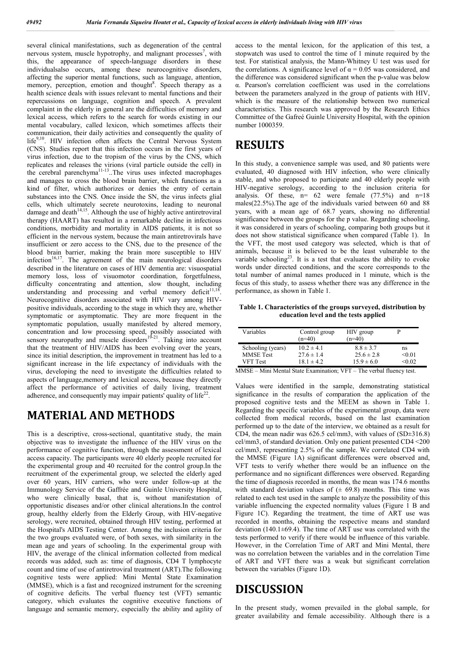several clinical manifestations, such as degeneration of the central nervous system, muscle hypotrophy, and malignant processes<sup>7</sup>, with this, the appearance of speech-language disorders in these individualsalso occurs, among these neurocognitive disorders, affecting the superior mental functions, such as language, attention, memory, perception, emotion and thought<sup>8</sup>. Speech therapy as a health science deals with issues relevant to mental functions and their repercussions on language, cognition and speech. A prevalent complaint in the elderly in general are the difficulties of memory and lexical access, which refers to the search for words existing in our mental vocabulary, called lexicon, which sometimes affects their communication, their daily activities and consequently the quality of life<sup>9,10</sup>. HIV infection often affects the Central Nervous System (CNS). Studies report that this infection occurs in the first years of virus infection, due to the tropism of the virus by the CNS, which replicates and releases the virions (viral particle outside the cell) in the cerebral parenchyma<sup>11-13</sup>. The virus uses infected macrophages and manages to cross the blood brain barrier, which functions as a kind of filter, which authorizes or denies the entry of certain substances into the CNS. Once inside the SN, the virus infects glial cells, which ultimately secrete neurotoxins, leading to neuronal damage and death $14,15$ . Although the use of highly active antiretroviral therapy (HAART) has resulted in a remarkable decline in infectious conditions, morbidity and mortality in AIDS patients, it is not so efficient in the nervous system, because the main antiretrovirals have insufficient or zero access to the CNS, due to the presence of the blood brain barrier, making the brain more susceptible to HIV infection $16,17$ . The agreement of the main neurological disorders described in the literature on cases of HIV dementia are: visuospatial memory loss, loss of visuomotor coordination, forgetfulness, difficulty concentrating and attention, slow thought, including understanding and processing and verbal memory deficit<sup>11,18</sup> Neurocognitive disorders associated with HIV vary among HIVpositive individuals, according to the stage in which they are, whether symptomatic or asymptomatic. They are more frequent in the symptomatic population, usually manifested by altered memory, concentration and low processing speed, possibly associated with sensory neuropathy and muscle disorders<sup>19-21</sup>. Taking into account that the treatment of HIV/AIDS has been evolving over the years, since its initial description, the improvement in treatment has led to a significant increase in the life expectancy of individuals with the virus, developing the need to investigate the difficulties related to aspects of language,memory and lexical access, because they directly affect the performance of activities of daily living, treatment adherence, and consequently may impair patients' quality of  $life^{22}$ .

## **MATERIAL AND METHODS**

This is a descriptive, cross-sectional, quantitative study, the main objective was to investigate the influence of the HIV virus on the performance of cognitive function, through the assessment of lexical access capacity. The participants were 40 elderly people recruited for the experimental group and 40 recruited for the control group.In the recruitment of the experimental group, we selected the elderly aged over 60 years, HIV carriers, who were under follow-up at the Immunology Service of the Gaffrée and Guinle University Hospital, who were clinically basal, that is, without manifestation of opportunistic diseases and/or other clinical alterations.In the control group, healthy elderly from the Elderly Group, with HIV-negative serology, were recruited, obtained through HIV testing, performed at the Hospital's AIDS Testing Center. Among the inclusion criteria for the two groups evaluated were, of both sexes, with similarity in the mean age and years of schooling. In the experimental group with HIV, the average of the clinical information collected from medical records was added, such as: time of diagnosis, CD4 T lymphocyte count and time of use of antiretroviral treatment (ART).The following cognitive tests were applied: Mini Mental State Examination (MMSE), which is a fast and recognized instrument for the screening of cognitive deficits. The verbal fluency test (VFT) semantic category, which evaluates the cognitive executive functions of language and semantic memory, especially the ability and agility of access to the mental lexicon, for the application of this test, a stopwatch was used to control the time of 1 minute required by the test. For statistical analysis, the Mann-Whitney U test was used for the correlations. A significance level of  $\alpha = 0.05$  was considered, and the difference was considered significant when the p-value was below α. Pearson's correlation coefficient was used in the correlations between the parameters analyzed in the group of patients with HIV, which is the measure of the relationship between two numerical characteristics. This research was approved by the Research Ethics Committee of the Gafreé Guinle University Hospital, with the opinion number 1000359.

## **RESULTS**

In this study, a convenience sample was used, and 80 patients were evaluated, 40 diagnosed with HIV infection, who were clinically stable, and who proposed to participate and 40 elderly people with HIV-negative serology, according to the inclusion criteria for analysis. Of these,  $n= 62$  were female  $(77.5%)$  and  $n=18$ males(22.5%).The age of the individuals varied between 60 and 88 years, with a mean age of 68.7 years, showing no differential significance between the groups for the p value. Regarding schooling, it was considered in years of schooling, comparing both groups but it does not show statistical significance when compared (Table 1). In the VFT, the most used category was selected, which is that of animals, because it is believed to be the least vulnerable to the variable schooling<sup>23</sup>. It is a test that evaluates the ability to evoke words under directed conditions, and the score corresponds to the total number of animal names produced in 1 minute, which is the focus of this study, to assess whether there was any difference in the performance, as shown in Table 1.

**Table 1. Characteristics of the groups surveyed, distribution by education level and the tests applied**

| Variables         | Control group<br>$(n=40)$ | HIV group<br>$(n=40)$ |        |
|-------------------|---------------------------|-----------------------|--------|
| Schooling (years) | $10.2 \pm 4.1$            | $8.8 \pm 3.7$         | ns     |
| <b>MMSE</b> Test  | $27.6 \pm 1.4$            | $25.6 \pm 2.8$        | < 0.01 |
| <b>VFT</b> Test   | $18.1 \pm 4.2$            | $15.9 \pm 6.0$        | <0.02  |

MMSE – Mini Mental State Examination; VFT – The verbal fluency test.

Values were identified in the sample, demonstrating statistical significance in the results of comparation the application of the proposed cognitive tests and the MEEM as shown in Table 1. Regarding the specific variables of the experimental group, data were collected from medical records, based on the last examination performed up to the date of the interview, we obtained as a result for CD4, the mean nadir was  $626.5$  cel/mm3, with values of  $(SD\pm316.8)$ cel/mm3, of standard deviation. Only one patient presented CD4 <200 cel/mm3, representing 2.5% of the sample. We correlated CD4 with the MMSE (Figure 1A) significant differences were observed and, VFT tests to verify whether there would be an influence on the performance and no significant differences were observed. Regarding the time of diagnosis recorded in months, the mean was 174.6 months with standard deviation values of  $(± 69.8)$  months. This time was related to each test used in the sample to analyze the possibility of this variable influencing the expected normality values (Figure 1 B and Figure 1C). Regarding the treatment, the time of ART use was recorded in months, obtaining the respective means and standard deviation (140.1 $\pm$ 69.4). The time of ART use was correlated with the tests performed to verify if there would be influence of this variable. However, in the Correlation Time of ART and Mini Mental, there was no correlation between the variables and in the correlation Time of ART and VFT there was a weak but significant correlation between the variables (Figure 1D).

## **DISCUSSION**

In the present study, women prevailed in the global sample, for greater availability and female accessibility. Although there is a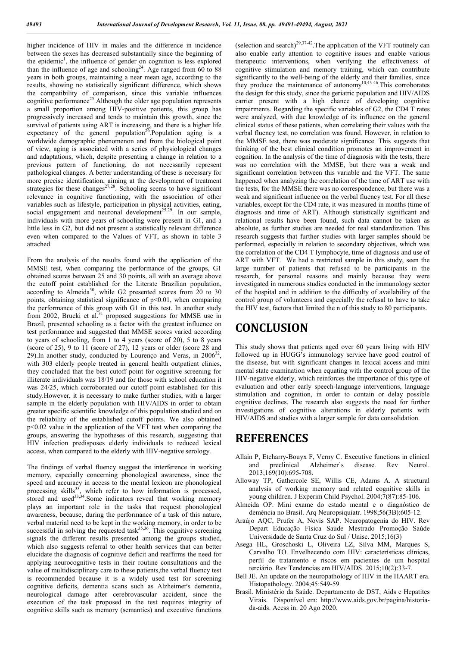higher incidence of HIV in males and the difference in incidence between the sexes has decreased substantially since the beginning of the epidemic<sup>1</sup>, the influence of gender on cognition is less explored than the influence of age and schooling<sup>24</sup>. Age ranged from  $60$  to 88 years in both groups, maintaining a near mean age, according to the results, showing no statistically significant difference, which shows the compatibility of comparison, since this variable influences cognitive performance<sup>25</sup>. Although the older age population represents a small proportion among HIV-positive patients, this group has progressively increased and tends to maintain this growth, since the survival of patients using ART is increasing, and there is a higher life expectancy of the general population<sup>26</sup>. Population aging is a worldwide demographic phenomenon and from the biological point of view, aging is associated with a series of physiological changes and adaptations, which, despite presenting a change in relation to a previous pattern of functioning, do not necessarily represent pathological changes. A better understanding of these is necessary for more precise identification, aiming at the development of treatment strategies for these changes<sup>27,28</sup>. Schooling seems to have significant relevance in cognitive functioning, with the association of other variables such as lifestyle, participation in physical activities, eating, social engagement and neuronal development<sup>25,29</sup>. In our sample, individuals with more years of schooling were present in G1, and a little less in G2, but did not present a statistically relevant difference even when compared to the Values of VFT, as shown in table 3 attached.

From the analysis of the results found with the application of the MMSE test, when comparing the performance of the groups, G1 obtained scores between 25 and 30 points, all with an average above the cutoff point established for the Literate Brazilian population, according to Almeida<sup>30</sup>, while G2 presented scores from  $20$  to  $30$ points, obtaining statistical significance of  $p<0.01$ , when comparing the performance of this group with G1 in this test. In another study from 2002, Brucki et al.<sup>31</sup> proposed suggestions for MMSE use in Brazil, presented schooling as a factor with the greatest influence on test performance and suggested that MMSE scores varied according to years of schooling, from 1 to 4 years (score of 20), 5 to 8 years (score of 25), 9 to 11 (score of 27), 12 years or older (score 28 and 29). In another study, conducted by Lourenço and Veras, in  $2006^{32}$ , with 303 elderly people treated in general health outpatient clinics, they concluded that the best cutoff point for cognitive screening for illiterate individuals was 18/19 and for those with school education it was 24/25, which corroborated our cutoff point established for this study.However, it is necessary to make further studies, with a larger sample in the elderly population with HIV/AIDS in order to obtain greater specific scientific knowledge of this population studied and on the reliability of the established cutoff points. We also obtained p<0.02 value in the application of the VFT test when comparing the groups, answering the hypotheses of this research, suggesting that HIV infection predisposes elderly individuals to reduced lexical access, when compared to the elderly with HIV-negative serology.

The findings of verbal fluency suggest the interference in working memory, especially concerning phonological awareness, since the speed and accuracy in access to the mental lexicon are phonological processing skills<sup>33</sup>, which refer to how information is processed, , which refer to how information is processed, stored and used $33,34$ . Some indicators reveal that working memory plays an important role in the tasks that request phonological awareness, because, during the performance of a task of this nature, verbal material need to be kept in the working memory, in order to be successful in solving the requested task $35,36$ . This cognitive screening signals the different results presented among the groups studied, which also suggests referral to other health services that can better elucidate the diagnosis of cognitive deficit and reaffirms the need for applying neurocognitive tests in their routine consultations and the value of multidisciplinary care to these patients,the verbal fluency test is recommended because it is a widely used test for screening cognitive deficits, dementia scans such as Alzheimer's dementia, neurological damage after cerebrovascular accident, since the execution of the task proposed in the test requires integrity of cognitive skills such as memory (semantics) and executive functions

(selection and search)<sup>29,37-42</sup>. The application of the VFT routinely can also enable early attention to cognitive issues and enable various therapeutic interventions, when verifying the effectiveness of cognitive stimulation and memory training, which can contribute significantly to the well-being of the elderly and their families, since they produce the maintenance of autonomy<sup>10,43-46</sup>. This corroborates the design for this study, since the geriatric population and HIV/AIDS carrier present with a high chance of developing cognitive impairments. Regarding the specific variables of G2, the CD4 T rates were analyzed, with due knowledge of its influence on the general clinical status of these patients, when correlating their values with the verbal fluency test, no correlation was found. However, in relation to the MMSE test, there was moderate significance. This suggests that thinking of the best clinical condition promotes an improvement in cognition. In the analysis of the time of diagnosis with the tests, there was no correlation with the MMSE, but there was a weak and significant correlation between this variable and the VFT. The same happened when analyzing the correlation of the time of ART use with the tests, for the MMSE there was no correspondence, but there was a weak and significant influence on the verbal fluency test. For all these variables, except for the CD4 rate, it was measured in months (time of diagnosis and time of ART). Although statistically significant and relational results have been found, such data cannot be taken as absolute, as further studies are needed for real standardization. This research suggests that further studies with larger samples should be performed, especially in relation to secondary objectives, which was the correlation of the CD4 T lymphocyte, time of diagnosis and use of ART with VFT. We had a restricted sample in this study, seen the large number of patients that refused to be participants in the research, for personal reasons and mainly because they were investigated in numerous studies conducted in the immunology sector of the hospital and in addition to the difficulty of availability of the control group of volunteers and especially the refusal to have to take the HIV test, factors that limited the n of this study to 80 participants.

#### **CONCLUSION**

This study shows that patients aged over 60 years living with HIV followed up in HUGG's immunology service have good control of the disease, but with significant changes in lexical access and mini mental state examination when equating with the control group of the HIV-negative elderly, which reinforces the importance of this type of evaluation and other early speech-language interventions, language stimulation and cognition, in order to contain or delay possible cognitive declines. The research also suggests the need for further investigations of cognitive alterations in elderly patients with HIV/AIDS and studies with a larger sample for data consolidation.

#### **REFERENCES**

- Allain P, Etcharry-Bouyx F, Verny C. Executive functions in clinical and preclinical Alzheimer's disease. Rev Neurol. 2013;169(10):695-708.
- Alloway TP, Gathercole SE, Willis CE, Adams A. A structural analysis of working memory and related cognitive skills in young children. J Experim Child Psychol. 2004;7(87):85-106.
- Almeida OP. Mini exame do estado mental e o diagnóstico de demência no Brasil. Arq Neuropsiquiatr. 1998;56(3B):605-12.
- Araújo AQC, Prufer A, Novis SAP. Neuropatogenia do HIV. Rev Depart Educação Física Saúde Mestrado Promoção Saúde Universidade de Santa Cruz do Sul / Unisc. 2015;16(3)
- Asega HL, Groschoski L, Oliveira LZ, Silva MM, Marques S, Carvalho TO. Envelhecendo com HIV: características clínicas, perfil de tratamento e riscos em pacientes de um hospital terciário. Rev Tendencias em HIV/AIDS. 2015;10(2):33-7.
- Bell JE. An update on the neuropathology of HIV in the HAART era. Histopathology. 2004;45:549-59
- Brasil. Ministério da Saúde. Departamento de DST, Aids e Hepatites Virais. Disponível em: http://www.aids.gov.br/pagina/historiada-aids. Acess in: 20 Ago 2020.